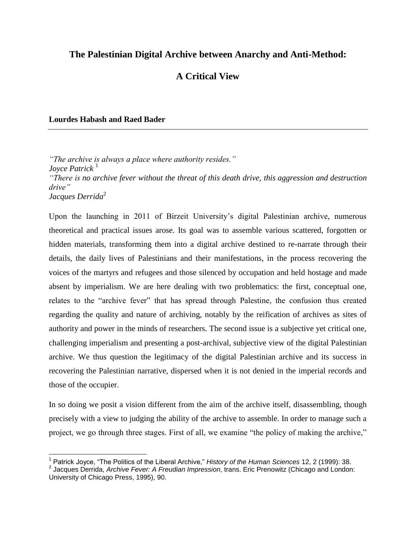# **The Palestinian Digital Archive between Anarchy and Anti-Method:**

# **A Critical View**

# **Lourdes Habash and Raed Bader**

 $\overline{\phantom{a}}$ 

*"The archive is always a place where authority resides." Joyce Patrick*<sup>1</sup> *"There is no archive fever without the threat of this death drive, this aggression and destruction drive" Jacques Derrida*<sup>2</sup>

Upon the launching in 2011 of Birzeit University's digital Palestinian archive, numerous theoretical and practical issues arose. Its goal was to assemble various scattered, forgotten or hidden materials, transforming them into a digital archive destined to re-narrate through their details, the daily lives of Palestinians and their manifestations, in the process recovering the voices of the martyrs and refugees and those silenced by occupation and held hostage and made absent by imperialism. We are here dealing with two problematics: the first, conceptual one, relates to the "archive fever" that has spread through Palestine, the confusion thus created regarding the quality and nature of archiving, notably by the reification of archives as sites of authority and power in the minds of researchers. The second issue is a subjective yet critical one, challenging imperialism and presenting a post-archival, subjective view of the digital Palestinian archive. We thus question the legitimacy of the digital Palestinian archive and its success in recovering the Palestinian narrative, dispersed when it is not denied in the imperial records and those of the occupier.

In so doing we posit a vision different from the aim of the archive itself, disassembling, though precisely with a view to judging the ability of the archive to assemble. In order to manage such a project, we go through three stages. First of all, we examine "the policy of making the archive,"

<sup>1</sup> Patrick Joyce, "The Politics of the Liberal Archive," *History of the Human Sciences* 12, 2 (1999): 38.

<sup>2</sup> Jacques Derrida, *Archive Fever: A Freudian Impression*, trans. Eric Prenowitz (Chicago and London: University of Chicago Press, 1995), 90.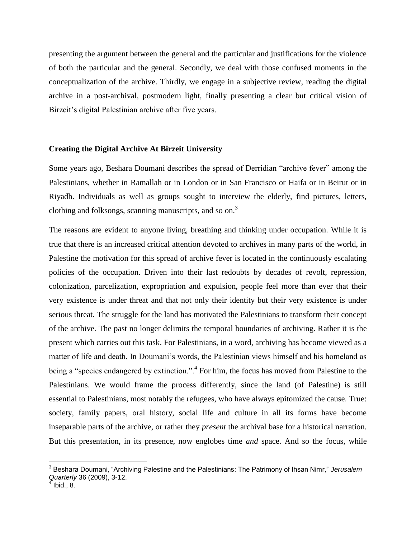presenting the argument between the general and the particular and justifications for the violence of both the particular and the general. Secondly, we deal with those confused moments in the conceptualization of the archive. Thirdly, we engage in a subjective review, reading the digital archive in a post-archival, postmodern light, finally presenting a clear but critical vision of Birzeit's digital Palestinian archive after five years.

#### **Creating the Digital Archive At Birzeit University**

Some years ago, Beshara Doumani describes the spread of Derridian "archive fever" among the Palestinians, whether in Ramallah or in London or in San Francisco or Haifa or in Beirut or in Riyadh. Individuals as well as groups sought to interview the elderly, find pictures, letters, clothing and folksongs, scanning manuscripts, and so on.<sup>3</sup>

The reasons are evident to anyone living, breathing and thinking under occupation. While it is true that there is an increased critical attention devoted to archives in many parts of the world, in Palestine the motivation for this spread of archive fever is located in the continuously escalating policies of the occupation. Driven into their last redoubts by decades of revolt, repression, colonization, parcelization, expropriation and expulsion, people feel more than ever that their very existence is under threat and that not only their identity but their very existence is under serious threat. The struggle for the land has motivated the Palestinians to transform their concept of the archive. The past no longer delimits the temporal boundaries of archiving. Rather it is the present which carries out this task. For Palestinians, in a word, archiving has become viewed as a matter of life and death. In Doumani's words, the Palestinian views himself and his homeland as being a "species endangered by extinction.".<sup>4</sup> For him, the focus has moved from Palestine to the Palestinians. We would frame the process differently, since the land (of Palestine) is still essential to Palestinians, most notably the refugees, who have always epitomized the cause. True: society, family papers, oral history, social life and culture in all its forms have become inseparable parts of the archive, or rather they *present* the archival base for a historical narration. But this presentation, in its presence, now englobes time *and* space. And so the focus, while

 $\overline{\phantom{a}}$ 

<sup>3</sup> Beshara Doumani, "Archiving Palestine and the Palestinians: The Patrimony of Ihsan Nimr," *Jerusalem Quarterly* 36 (2009), 3-12. 4 Ibid., 8.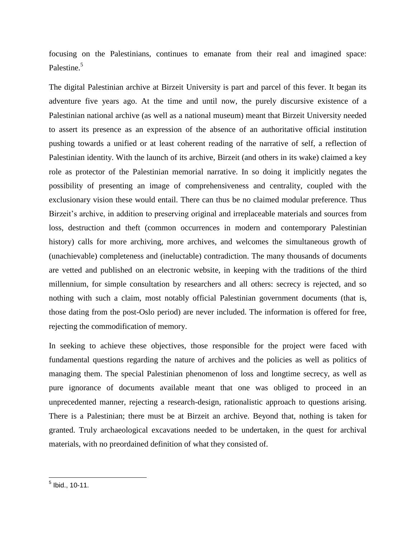focusing on the Palestinians, continues to emanate from their real and imagined space: Palestine.<sup>5</sup>

The digital Palestinian archive at Birzeit University is part and parcel of this fever. It began its adventure five years ago. At the time and until now, the purely discursive existence of a Palestinian national archive (as well as a national museum) meant that Birzeit University needed to assert its presence as an expression of the absence of an authoritative official institution pushing towards a unified or at least coherent reading of the narrative of self, a reflection of Palestinian identity. With the launch of its archive, Birzeit (and others in its wake) claimed a key role as protector of the Palestinian memorial narrative. In so doing it implicitly negates the possibility of presenting an image of comprehensiveness and centrality, coupled with the exclusionary vision these would entail. There can thus be no claimed modular preference. Thus Birzeit's archive, in addition to preserving original and irreplaceable materials and sources from loss, destruction and theft (common occurrences in modern and contemporary Palestinian history) calls for more archiving, more archives, and welcomes the simultaneous growth of (unachievable) completeness and (ineluctable) contradiction. The many thousands of documents are vetted and published on an electronic website, in keeping with the traditions of the third millennium, for simple consultation by researchers and all others: secrecy is rejected, and so nothing with such a claim, most notably official Palestinian government documents (that is, those dating from the post-Oslo period) are never included. The information is offered for free, rejecting the commodification of memory.

In seeking to achieve these objectives, those responsible for the project were faced with fundamental questions regarding the nature of archives and the policies as well as politics of managing them. The special Palestinian phenomenon of loss and longtime secrecy, as well as pure ignorance of documents available meant that one was obliged to proceed in an unprecedented manner, rejecting a research-design, rationalistic approach to questions arising. There is a Palestinian; there must be at Birzeit an archive. Beyond that, nothing is taken for granted. Truly archaeological excavations needed to be undertaken, in the quest for archival materials, with no preordained definition of what they consisted of.

 5 Ibid., 10-11.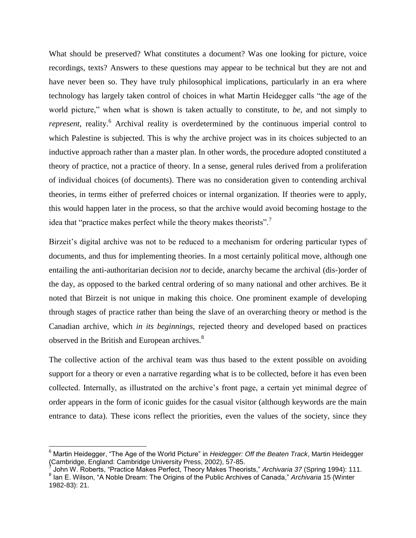What should be preserved? What constitutes a document? Was one looking for picture, voice recordings, texts? Answers to these questions may appear to be technical but they are not and have never been so. They have truly philosophical implications, particularly in an era where technology has largely taken control of choices in what Martin Heidegger calls "the age of the world picture," when what is shown is taken actually to constitute, to *be*, and not simply to *represent*, reality.<sup>6</sup> Archival reality is overdetermined by the continuous imperial control to which Palestine is subjected. This is why the archive project was in its choices subjected to an inductive approach rather than a master plan. In other words, the procedure adopted constituted a theory of practice, not a practice of theory. In a sense, general rules derived from a proliferation of individual choices (of documents). There was no consideration given to contending archival theories, in terms either of preferred choices or internal organization. If theories were to apply, this would happen later in the process, so that the archive would avoid becoming hostage to the idea that "practice makes perfect while the theory makes theorists".<sup>7</sup>

Birzeit's digital archive was not to be reduced to a mechanism for ordering particular types of documents, and thus for implementing theories. In a most certainly political move, although one entailing the anti-authoritarian decision *not* to decide, anarchy became the archival (dis-)order of the day, as opposed to the barked central ordering of so many national and other archives. Be it noted that Birzeit is not unique in making this choice. One prominent example of developing through stages of practice rather than being the slave of an overarching theory or method is the Canadian archive, which *in its beginnings,* rejected theory and developed based on practices observed in the British and European archives.<sup>8</sup>

The collective action of the archival team was thus based to the extent possible on avoiding support for a theory or even a narrative regarding what is to be collected, before it has even been collected. Internally, as illustrated on the archive's front page, a certain yet minimal degree of order appears in the form of iconic guides for the casual visitor (although keywords are the main entrance to data). These icons reflect the priorities, even the values of the society, since they

 $\overline{a}$ 

<sup>6</sup> Martin Heidegger, "The Age of the World Picture" in *Heidegger: Off the Beaten Track*, Martin Heidegger (Cambridge, England: Cambridge University Press, 2002), 57-85. 7

John W. Roberts, "Practice Makes Perfect, Theory Makes Theorists," *Archivaria 37* (Spring 1994): 111.

<sup>8</sup> Ian E. Wilson, "A Noble Dream: The Origins of the Public Archives of Canada," *Archivaria* 15 (Winter 1982-83): 21.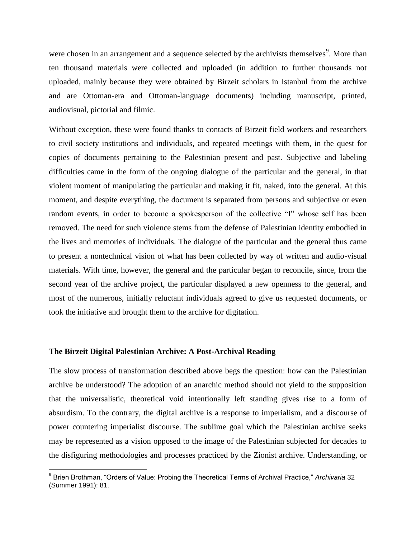were chosen in an arrangement and a sequence selected by the archivists themselves<sup>9</sup>. More than ten thousand materials were collected and uploaded (in addition to further thousands not uploaded, mainly because they were obtained by Birzeit scholars in Istanbul from the archive and are Ottoman-era and Ottoman-language documents) including manuscript, printed, audiovisual, pictorial and filmic.

Without exception, these were found thanks to contacts of Birzeit field workers and researchers to civil society institutions and individuals, and repeated meetings with them, in the quest for copies of documents pertaining to the Palestinian present and past. Subjective and labeling difficulties came in the form of the ongoing dialogue of the particular and the general, in that violent moment of manipulating the particular and making it fit, naked, into the general. At this moment, and despite everything, the document is separated from persons and subjective or even random events, in order to become a spokesperson of the collective "I" whose self has been removed. The need for such violence stems from the defense of Palestinian identity embodied in the lives and memories of individuals. The dialogue of the particular and the general thus came to present a nontechnical vision of what has been collected by way of written and audio-visual materials. With time, however, the general and the particular began to reconcile, since, from the second year of the archive project, the particular displayed a new openness to the general, and most of the numerous, initially reluctant individuals agreed to give us requested documents, or took the initiative and brought them to the archive for digitation.

# **The Birzeit Digital Palestinian Archive: A Post-Archival Reading**

 $\overline{\phantom{a}}$ 

The slow process of transformation described above begs the question: how can the Palestinian archive be understood? The adoption of an anarchic method should not yield to the supposition that the universalistic, theoretical void intentionally left standing gives rise to a form of absurdism. To the contrary, the digital archive is a response to imperialism, and a discourse of power countering imperialist discourse. The sublime goal which the Palestinian archive seeks may be represented as a vision opposed to the image of the Palestinian subjected for decades to the disfiguring methodologies and processes practiced by the Zionist archive. Understanding, or

<sup>9</sup> Brien Brothman, "Orders of Value: Probing the Theoretical Terms of Archival Practice," *Archivaria* 32 (Summer 1991): 81.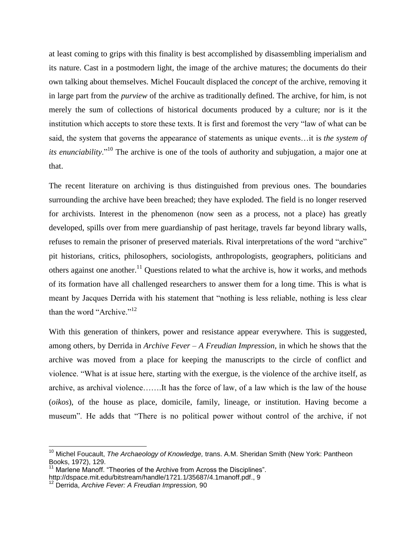at least coming to grips with this finality is best accomplished by disassembling imperialism and its nature. Cast in a postmodern light, the image of the archive matures; the documents do their own talking about themselves. Michel Foucault displaced the *concept* of the archive, removing it in large part from the *purview* of the archive as traditionally defined. The archive, for him, is not merely the sum of collections of historical documents produced by a culture; nor is it the institution which accepts to store these texts. It is first and foremost the very "law of what can be said, the system that governs the appearance of statements as unique events…it is *the system of its enunciability*."<sup>10</sup> The archive is one of the tools of authority and subjugation, a major one at that.

The recent literature on archiving is thus distinguished from previous ones. The boundaries surrounding the archive have been breached; they have exploded. The field is no longer reserved for archivists. Interest in the phenomenon (now seen as a process, not a place) has greatly developed, spills over from mere guardianship of past heritage, travels far beyond library walls, refuses to remain the prisoner of preserved materials. Rival interpretations of the word "archive" pit historians, critics, philosophers, sociologists, anthropologists, geographers, politicians and others against one another.<sup>11</sup> Questions related to what the archive is, how it works, and methods of its formation have all challenged researchers to answer them for a long time. This is what is meant by Jacques Derrida with his statement that "nothing is less reliable, nothing is less clear than the word "Archive." $12$ 

With this generation of thinkers, power and resistance appear everywhere. This is suggested, among others, by Derrida in *Archive Fever – A Freudian Impression*, in which he shows that the archive was moved from a place for keeping the manuscripts to the circle of conflict and violence. "What is at issue here, starting with the exergue, is the violence of the archive itself, as archive, as archival violence…….It has the force of law, of a law which is the law of the house (*oikos*), of the house as place, domicile, family, lineage, or institution. Having become a museum". He adds that "There is no political power without control of the archive, if not

 $\overline{a}$ 

<sup>10</sup> Michel Foucault, *The Archaeology of Knowledge,* trans. A.M. Sheridan Smith (New York: Pantheon Books, 1972), 129.

<sup>&</sup>lt;sup>11</sup> Marlene Manoff. "Theories of the Archive from Across the Disciplines". [http://dspace.mit.edu/bitstream/handle/1721.1/35687/4.1manoff.pdf.](http://dspace.mit.edu/bitstream/handle/1721.1/35687/4.1manoff.pdf), 9

<sup>12</sup> Derrida, *Archive Fever: A Freudian Impression,* 90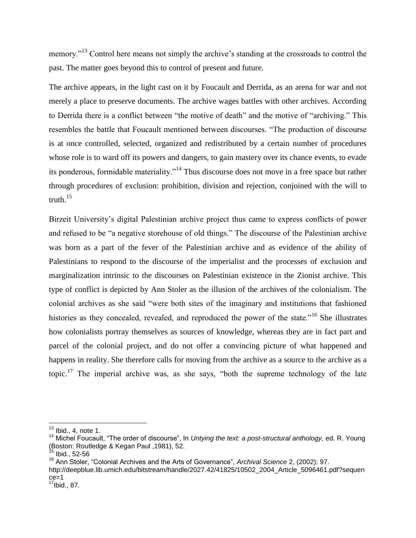memory."<sup>13</sup> Control here means not simply the archive's standing at the crossroads to control the past. The matter goes beyond this to control of present and future.

The archive appears, in the light cast on it by Foucault and Derrida, as an arena for war and not merely a place to preserve documents. The archive wages battles with other archives. According to Derrida there is a conflict between "the motive of death" and the motive of "archiving." This resembles the battle that Foucault mentioned between discourses. "The production of discourse is at once controlled, selected, organized and redistributed by a certain number of procedures whose role is to ward off its powers and dangers, to gain mastery over its chance events, to evade its ponderous, formidable materiality."<sup>14</sup> Thus discourse does not move in a free space but rather through procedures of exclusion: prohibition, division and rejection, conjoined with the will to truth $15$ 

Birzeit University's digital Palestinian archive project thus came to express conflicts of power and refused to be "a negative storehouse of old things." The discourse of the Palestinian archive was born as a part of the fever of the Palestinian archive and as evidence of the ability of Palestinians to respond to the discourse of the imperialist and the processes of exclusion and marginalization intrinsic to the discourses on Palestinian existence in the Zionist archive. This type of conflict is depicted by Ann Stoler as the illusion of the archives of the colonialism. The colonial archives as she said "were both sites of the imaginary and institutions that fashioned histories as they concealed, revealed, and reproduced the power of the state."<sup>16</sup> She illustrates how colonialists portray themselves as sources of knowledge, whereas they are in fact part and parcel of the colonial project, and do not offer a convincing picture of what happened and happens in reality. She therefore calls for moving from the archive as a source to the archive as a topic.<sup>17</sup> The imperial archive was, as she says, "both the supreme technology of the late

 $\overline{a}$ 

 $13$  Ibid., 4, note 1.

<sup>14</sup> Michel Foucault, "The order of discourse", In *Untying the text: a post-structural anthology,* ed. R. Young (Boston: Routledge & Kegan Paul ,1981), 52.

Ibid., 52-56

<sup>16</sup> Ann Stoler, "Colonial Archives and the Arts of Governance", *Archival Science* 2, (2002): 97.

http://deepblue.lib.umich.edu/bitstream/handle/2027.42/41825/10502\_2004\_Article\_5096461.pdf?sequen ce=1

 $17$ Ibid., 87.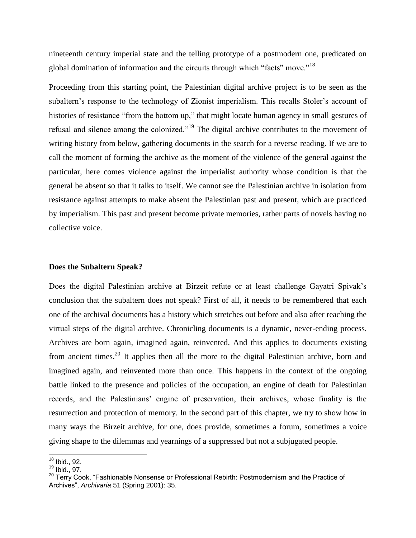nineteenth century imperial state and the telling prototype of a postmodern one, predicated on global domination of information and the circuits through which "facts" move."<sup>18</sup>

Proceeding from this starting point, the Palestinian digital archive project is to be seen as the subaltern's response to the technology of Zionist imperialism. This recalls Stoler's account of histories of resistance "from the bottom up," that might locate human agency in small gestures of refusal and silence among the colonized."<sup>19</sup> The digital archive contributes to the movement of writing history from below, gathering documents in the search for a reverse reading. If we are to call the moment of forming the archive as the moment of the violence of the general against the particular, here comes violence against the imperialist authority whose condition is that the general be absent so that it talks to itself. We cannot see the Palestinian archive in isolation from resistance against attempts to make absent the Palestinian past and present, which are practiced by imperialism. This past and present become private memories, rather parts of novels having no collective voice.

### **Does the Subaltern Speak?**

Does the digital Palestinian archive at Birzeit refute or at least challenge Gayatri Spivak's conclusion that the subaltern does not speak? First of all, it needs to be remembered that each one of the archival documents has a history which stretches out before and also after reaching the virtual steps of the digital archive. Chronicling documents is a dynamic, never-ending process. Archives are born again, imagined again, reinvented. And this applies to documents existing from ancient times.<sup>20</sup> It applies then all the more to the digital Palestinian archive, born and imagined again, and reinvented more than once. This happens in the context of the ongoing battle linked to the presence and policies of the occupation, an engine of death for Palestinian records, and the Palestinians' engine of preservation, their archives, whose finality is the resurrection and protection of memory. In the second part of this chapter, we try to show how in many ways the Birzeit archive, for one, does provide, sometimes a forum, sometimes a voice giving shape to the dilemmas and yearnings of a suppressed but not a subjugated people.

 $\overline{\phantom{a}}$ 

 $18$  Ibid., 92.

<sup>19</sup> Ibid., 97.

 $20$  Terry Cook, "Fashionable Nonsense or Professional Rebirth: Postmodernism and the Practice of Archives", *[Archivaria](http://aca.archives.ca/publicat/archivar/index.htm)* 51 (Spring 2001): 35.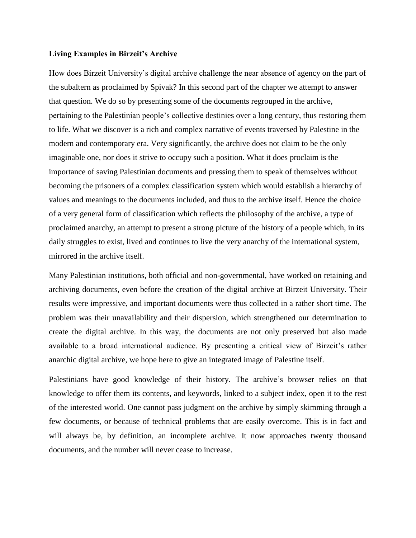# **Living Examples in Birzeit's Archive**

How does Birzeit University's digital archive challenge the near absence of agency on the part of the subaltern as proclaimed by Spivak? In this second part of the chapter we attempt to answer that question. We do so by presenting some of the documents regrouped in the archive, pertaining to the Palestinian people's collective destinies over a long century, thus restoring them to life. What we discover is a rich and complex narrative of events traversed by Palestine in the modern and contemporary era. Very significantly, the archive does not claim to be the only imaginable one, nor does it strive to occupy such a position. What it does proclaim is the importance of saving Palestinian documents and pressing them to speak of themselves without becoming the prisoners of a complex classification system which would establish a hierarchy of values and meanings to the documents included, and thus to the archive itself. Hence the choice of a very general form of classification which reflects the philosophy of the archive, a type of proclaimed anarchy, an attempt to present a strong picture of the history of a people which, in its daily struggles to exist, lived and continues to live the very anarchy of the international system, mirrored in the archive itself.

Many Palestinian institutions, both official and non-governmental, have worked on retaining and archiving documents, even before the creation of the digital archive at Birzeit University. Their results were impressive, and important documents were thus collected in a rather short time. The problem was their unavailability and their dispersion, which strengthened our determination to create the digital archive. In this way, the documents are not only preserved but also made available to a broad international audience. By presenting a critical view of Birzeit's rather anarchic digital archive, we hope here to give an integrated image of Palestine itself.

Palestinians have good knowledge of their history. The archive's browser relies on that knowledge to offer them its contents, and keywords, linked to a subject index, open it to the rest of the interested world. One cannot pass judgment on the archive by simply skimming through a few documents, or because of technical problems that are easily overcome. This is in fact and will always be, by definition, an incomplete archive. It now approaches twenty thousand documents, and the number will never cease to increase.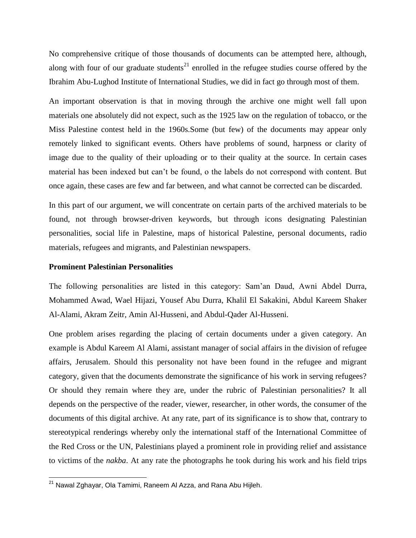No comprehensive critique of those thousands of documents can be attempted here, although, along with four of our graduate students<sup>21</sup> enrolled in the refugee studies course offered by the Ibrahim Abu-Lughod Institute of International Studies, we did in fact go through most of them.

An important observation is that in moving through the archive one might well fall upon materials one absolutely did not expect, such as the 1925 law on the regulation of tobacco, or the Miss Palestine contest held in the 1960s.Some (but few) of the documents may appear only remotely linked to significant events. Others have problems of sound, harpness or clarity of image due to the quality of their uploading or to their quality at the source. In certain cases material has been indexed but can't be found, o the labels do not correspond with content. But once again, these cases are few and far between, and what cannot be corrected can be discarded.

In this part of our argument, we will concentrate on certain parts of the archived materials to be found, not through browser-driven keywords, but through icons designating Palestinian personalities, social life in Palestine, maps of historical Palestine, personal documents, radio materials, refugees and migrants, and Palestinian newspapers.

# **Prominent Palestinian Personalities**

 $\overline{\phantom{a}}$ 

The following personalities are listed in this category: Sam'an Daud, Awni Abdel Durra, Mohammed Awad, Wael Hijazi, Yousef Abu Durra, Khalil El Sakakini, Abdul Kareem Shaker Al-Alami, Akram Zeitr, Amin Al-Husseni, and Abdul-Qader Al-Husseni.

One problem arises regarding the placing of certain documents under a given category. An example is Abdul Kareem Al Alami, assistant manager of social affairs in the division of refugee affairs, Jerusalem. Should this personality not have been found in the refugee and migrant category, given that the documents demonstrate the significance of his work in serving refugees? Or should they remain where they are, under the rubric of Palestinian personalities? It all depends on the perspective of the reader, viewer, researcher, in other words, the consumer of the documents of this digital archive. At any rate, part of its significance is to show that, contrary to stereotypical renderings whereby only the international staff of the International Committee of the Red Cross or the UN, Palestinians played a prominent role in providing relief and assistance to victims of the *nakba*. At any rate the photographs he took during his work and his field trips

<sup>&</sup>lt;sup>21</sup> Nawal Zghayar, Ola Tamimi, Raneem Al Azza, and Rana Abu Hijleh.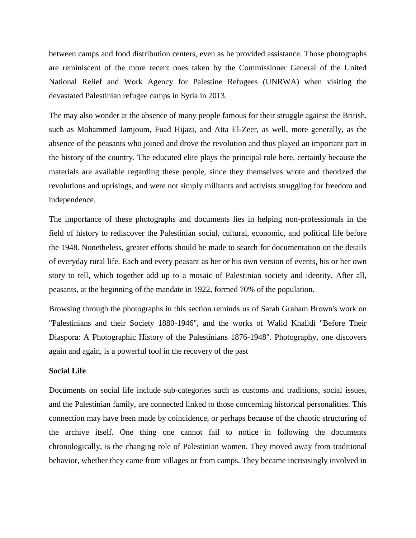between camps and food distribution centers, even as he provided assistance. Those photographs are reminiscent of the more recent ones taken by the Commissioner General of the United National Relief and Work Agency for Palestine Refugees (UNRWA) when visiting the devastated Palestinian refugee camps in Syria in 2013.

The may also wonder at the absence of many people famous for their struggle against the British, such as Mohammed Jamjoum, Fuad Hijazi, and Atta El-Zeer, as well, more generally, as the absence of the peasants who joined and drove the revolution and thus played an important part in the history of the country. The educated elite plays the principal role here, certainly because the materials are available regarding these people, since they themselves wrote and theorized the revolutions and uprisings, and were not simply militants and activists struggling for freedom and independence.

The importance of these photographs and documents lies in helping non-professionals in the field of history to rediscover the Palestinian social, cultural, economic, and political life before the 1948. Nonetheless, greater efforts should be made to search for documentation on the details of everyday rural life. Each and every peasant as her or his own version of events, his or her own story to tell, which together add up to a mosaic of Palestinian society and identity. After all, peasants, at the beginning of the mandate in 1922, formed 70% of the population.

Browsing through the photographs in this section reminds us of Sarah Graham Brown's work on "Palestinians and their Society 1880-1946", and the works of Walid Khalidi "Before Their Diaspora: A Photographic History of the Palestinians 1876-1948". Photography, one discovers again and again, is a powerful tool in the recovery of the past

#### **Social Life**

Documents on social life include sub-categories such as customs and traditions, social issues, and the Palestinian family, are connected linked to those concerning historical personalities. This connection may have been made by coincidence, or perhaps because of the chaotic structuring of the archive itself. One thing one cannot fail to notice in following the documents chronologically, is the changing role of Palestinian women. They moved away from traditional behavior, whether they came from villages or from camps. They became increasingly involved in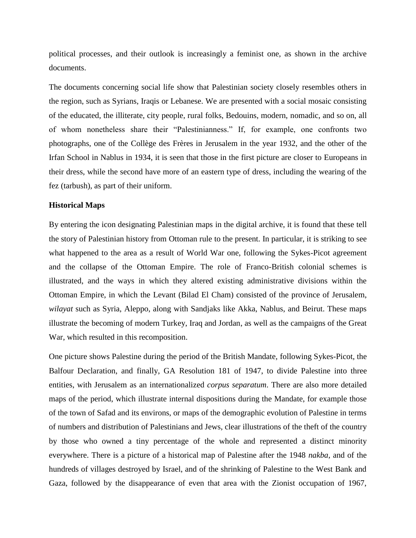political processes, and their outlook is increasingly a feminist one, as shown in the archive documents.

The documents concerning social life show that Palestinian society closely resembles others in the region, such as Syrians, Iraqis or Lebanese. We are presented with a social mosaic consisting of the educated, the illiterate, city people, rural folks, Bedouins, modern, nomadic, and so on, all of whom nonetheless share their "Palestinianness." If, for example, one confronts two photographs, one of the Collège des Frères in Jerusalem in the year 1932, and the other of the Irfan School in Nablus in 1934, it is seen that those in the first picture are closer to Europeans in their dress, while the second have more of an eastern type of dress, including the wearing of the fez (tarbush), as part of their uniform.

# **Historical Maps**

By entering the icon designating Palestinian maps in the digital archive, it is found that these tell the story of Palestinian history from Ottoman rule to the present. In particular, it is striking to see what happened to the area as a result of World War one, following the Sykes-Picot agreement and the collapse of the Ottoman Empire. The role of Franco-British colonial schemes is illustrated, and the ways in which they altered existing administrative divisions within the Ottoman Empire, in which the Levant (Bilad El Cham) consisted of the province of Jerusalem, *wilayat* such as Syria, Aleppo, along with Sandjaks like Akka, Nablus, and Beirut. These maps illustrate the becoming of modern Turkey, Iraq and Jordan, as well as the campaigns of the Great War, which resulted in this recomposition.

One picture shows Palestine during the period of the British Mandate, following Sykes-Picot, the Balfour Declaration, and finally, GA Resolution 181 of 1947, to divide Palestine into three entities, with Jerusalem as an internationalized *corpus separatum*. There are also more detailed maps of the period, which illustrate internal dispositions during the Mandate, for example those of the town of Safad and its environs, or maps of the demographic evolution of Palestine in terms of numbers and distribution of Palestinians and Jews, clear illustrations of the theft of the country by those who owned a tiny percentage of the whole and represented a distinct minority everywhere. There is a picture of a historical map of Palestine after the 1948 *nakba*, and of the hundreds of villages destroyed by Israel, and of the shrinking of Palestine to the West Bank and Gaza, followed by the disappearance of even that area with the Zionist occupation of 1967,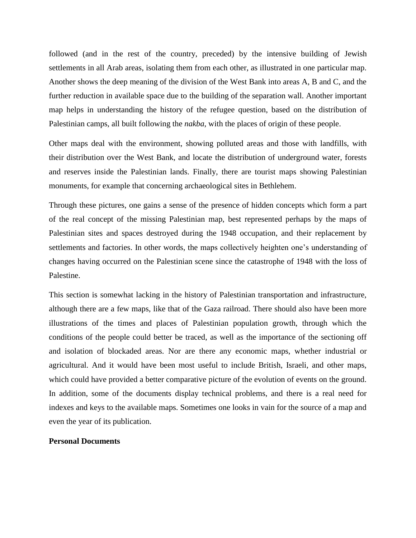followed (and in the rest of the country, preceded) by the intensive building of Jewish settlements in all Arab areas, isolating them from each other, as illustrated in one particular map. Another shows the deep meaning of the division of the West Bank into areas A, B and C, and the further reduction in available space due to the building of the separation wall. Another important map helps in understanding the history of the refugee question, based on the distribution of Palestinian camps, all built following the *nakba*, with the places of origin of these people.

Other maps deal with the environment, showing polluted areas and those with landfills, with their distribution over the West Bank, and locate the distribution of underground water, forests and reserves inside the Palestinian lands. Finally, there are tourist maps showing Palestinian monuments, for example that concerning archaeological sites in Bethlehem.

Through these pictures, one gains a sense of the presence of hidden concepts which form a part of the real concept of the missing Palestinian map, best represented perhaps by the maps of Palestinian sites and spaces destroyed during the 1948 occupation, and their replacement by settlements and factories. In other words, the maps collectively heighten one's understanding of changes having occurred on the Palestinian scene since the catastrophe of 1948 with the loss of Palestine.

This section is somewhat lacking in the history of Palestinian transportation and infrastructure, although there are a few maps, like that of the Gaza railroad. There should also have been more illustrations of the times and places of Palestinian population growth, through which the conditions of the people could better be traced, as well as the importance of the sectioning off and isolation of blockaded areas. Nor are there any economic maps, whether industrial or agricultural. And it would have been most useful to include British, Israeli, and other maps, which could have provided a better comparative picture of the evolution of events on the ground. In addition, some of the documents display technical problems, and there is a real need for indexes and keys to the available maps. Sometimes one looks in vain for the source of a map and even the year of its publication.

# **Personal Documents**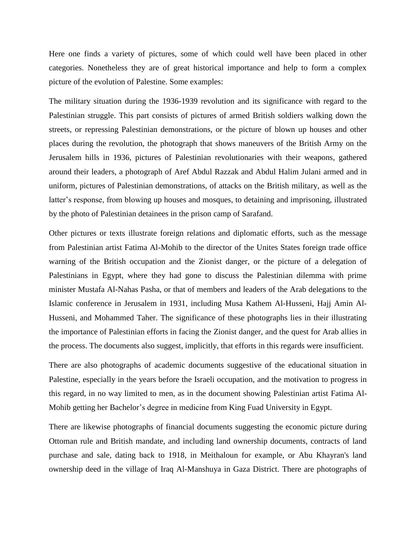Here one finds a variety of pictures, some of which could well have been placed in other categories. Nonetheless they are of great historical importance and help to form a complex picture of the evolution of Palestine. Some examples:

The military situation during the 1936-1939 revolution and its significance with regard to the Palestinian struggle. This part consists of pictures of armed British soldiers walking down the streets, or repressing Palestinian demonstrations, or the picture of blown up houses and other places during the revolution, the photograph that shows maneuvers of the British Army on the Jerusalem hills in 1936, pictures of Palestinian revolutionaries with their weapons, gathered around their leaders, a photograph of Aref Abdul Razzak and Abdul Halim Julani armed and in uniform, pictures of Palestinian demonstrations, of attacks on the British military, as well as the latter's response, from blowing up houses and mosques, to detaining and imprisoning, illustrated by the photo of Palestinian detainees in the prison camp of Sarafand.

Other pictures or texts illustrate foreign relations and diplomatic efforts, such as the message from Palestinian artist Fatima Al-Mohib to the director of the Unites States foreign trade office warning of the British occupation and the Zionist danger, or the picture of a delegation of Palestinians in Egypt, where they had gone to discuss the Palestinian dilemma with prime minister Mustafa Al-Nahas Pasha, or that of members and leaders of the Arab delegations to the Islamic conference in Jerusalem in 1931, including Musa Kathem Al-Husseni, Hajj Amin Al-Husseni, and Mohammed Taher. The significance of these photographs lies in their illustrating the importance of Palestinian efforts in facing the Zionist danger, and the quest for Arab allies in the process. The documents also suggest, implicitly, that efforts in this regards were insufficient.

There are also photographs of academic documents suggestive of the educational situation in Palestine, especially in the years before the Israeli occupation, and the motivation to progress in this regard, in no way limited to men, as in the document showing Palestinian artist Fatima Al-Mohib getting her Bachelor's degree in medicine from King Fuad University in Egypt.

There are likewise photographs of financial documents suggesting the economic picture during Ottoman rule and British mandate, and including land ownership documents, contracts of land purchase and sale, dating back to 1918, in Meithaloun for example, or Abu Khayran's land ownership deed in the village of Iraq Al-Manshuya in Gaza District. There are photographs of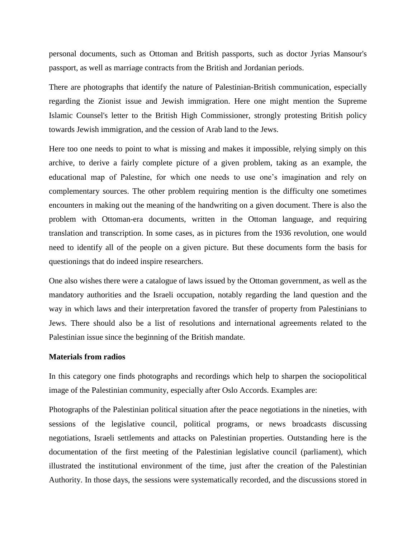personal documents, such as Ottoman and British passports, such as doctor Jyrias Mansour's passport, as well as marriage contracts from the British and Jordanian periods.

There are photographs that identify the nature of Palestinian-British communication, especially regarding the Zionist issue and Jewish immigration. Here one might mention the Supreme Islamic Counsel's letter to the British High Commissioner, strongly protesting British policy towards Jewish immigration, and the cession of Arab land to the Jews.

Here too one needs to point to what is missing and makes it impossible, relying simply on this archive, to derive a fairly complete picture of a given problem, taking as an example, the educational map of Palestine, for which one needs to use one's imagination and rely on complementary sources. The other problem requiring mention is the difficulty one sometimes encounters in making out the meaning of the handwriting on a given document. There is also the problem with Ottoman-era documents, written in the Ottoman language, and requiring translation and transcription. In some cases, as in pictures from the 1936 revolution, one would need to identify all of the people on a given picture. But these documents form the basis for questionings that do indeed inspire researchers.

One also wishes there were a catalogue of laws issued by the Ottoman government, as well as the mandatory authorities and the Israeli occupation, notably regarding the land question and the way in which laws and their interpretation favored the transfer of property from Palestinians to Jews. There should also be a list of resolutions and international agreements related to the Palestinian issue since the beginning of the British mandate.

#### **Materials from radios**

In this category one finds photographs and recordings which help to sharpen the sociopolitical image of the Palestinian community, especially after Oslo Accords. Examples are:

Photographs of the Palestinian political situation after the peace negotiations in the nineties, with sessions of the legislative council, political programs, or news broadcasts discussing negotiations, Israeli settlements and attacks on Palestinian properties. Outstanding here is the documentation of the first meeting of the Palestinian legislative council (parliament), which illustrated the institutional environment of the time, just after the creation of the Palestinian Authority. In those days, the sessions were systematically recorded, and the discussions stored in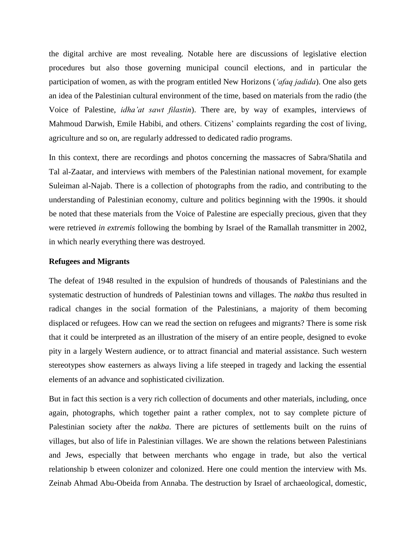the digital archive are most revealing. Notable here are discussions of legislative election procedures but also those governing municipal council elections, and in particular the participation of women, as with the program entitled New Horizons (*'afaq jadida*). One also gets an idea of the Palestinian cultural environment of the time, based on materials from the radio (the Voice of Palestine, *idha'at sawt filastin*). There are, by way of examples, interviews of Mahmoud Darwish, Emile Habibi, and others. Citizens' complaints regarding the cost of living, agriculture and so on, are regularly addressed to dedicated radio programs.

In this context, there are recordings and photos concerning the massacres of Sabra/Shatila and Tal al-Zaatar, and interviews with members of the Palestinian national movement, for example Suleiman al-Najab. There is a collection of photographs from the radio, and contributing to the understanding of Palestinian economy, culture and politics beginning with the 1990s. it should be noted that these materials from the Voice of Palestine are especially precious, given that they were retrieved *in extremis* following the bombing by Israel of the Ramallah transmitter in 2002, in which nearly everything there was destroyed.

## **Refugees and Migrants**

The defeat of 1948 resulted in the expulsion of hundreds of thousands of Palestinians and the systematic destruction of hundreds of Palestinian towns and villages. The *nakba* thus resulted in radical changes in the social formation of the Palestinians, a majority of them becoming displaced or refugees. How can we read the section on refugees and migrants? There is some risk that it could be interpreted as an illustration of the misery of an entire people, designed to evoke pity in a largely Western audience, or to attract financial and material assistance. Such western stereotypes show easterners as always living a life steeped in tragedy and lacking the essential elements of an advance and sophisticated civilization.

But in fact this section is a very rich collection of documents and other materials, including, once again, photographs, which together paint a rather complex, not to say complete picture of Palestinian society after the *nakba*. There are pictures of settlements built on the ruins of villages, but also of life in Palestinian villages. We are shown the relations between Palestinians and Jews, especially that between merchants who engage in trade, but also the vertical relationship b etween colonizer and colonized. Here one could mention the interview with Ms. Zeinab Ahmad Abu-Obeida from Annaba. The destruction by Israel of archaeological, domestic,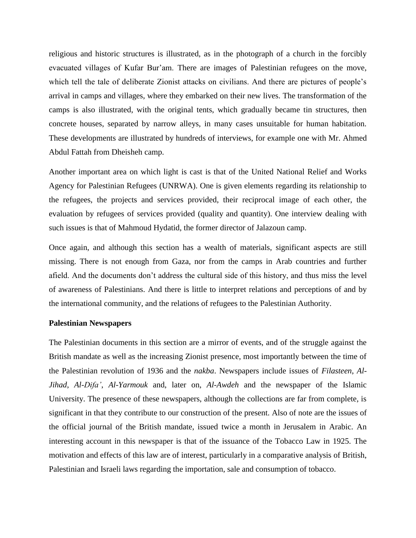religious and historic structures is illustrated, as in the photograph of a church in the forcibly evacuated villages of Kufar Bur'am. There are images of Palestinian refugees on the move, which tell the tale of deliberate Zionist attacks on civilians. And there are pictures of people's arrival in camps and villages, where they embarked on their new lives. The transformation of the camps is also illustrated, with the original tents, which gradually became tin structures, then concrete houses, separated by narrow alleys, in many cases unsuitable for human habitation. These developments are illustrated by hundreds of interviews, for example one with Mr. Ahmed Abdul Fattah from Dheisheh camp.

Another important area on which light is cast is that of the United National Relief and Works Agency for Palestinian Refugees (UNRWA). One is given elements regarding its relationship to the refugees, the projects and services provided, their reciprocal image of each other, the evaluation by refugees of services provided (quality and quantity). One interview dealing with such issues is that of Mahmoud Hydatid, the former director of Jalazoun camp.

Once again, and although this section has a wealth of materials, significant aspects are still missing. There is not enough from Gaza, nor from the camps in Arab countries and further afield. And the documents don't address the cultural side of this history, and thus miss the level of awareness of Palestinians. And there is little to interpret relations and perceptions of and by the international community, and the relations of refugees to the Palestinian Authority.

### **Palestinian Newspapers**

The Palestinian documents in this section are a mirror of events, and of the struggle against the British mandate as well as the increasing Zionist presence, most importantly between the time of the Palestinian revolution of 1936 and the *nakba*. Newspapers include issues of *Filasteen*, *Al-Jihad*, *Al-Difa'*, *Al-Yarmouk* and, later on, *Al-Awdeh* and the newspaper of the Islamic University. The presence of these newspapers, although the collections are far from complete, is significant in that they contribute to our construction of the present. Also of note are the issues of the official journal of the British mandate, issued twice a month in Jerusalem in Arabic. An interesting account in this newspaper is that of the issuance of the Tobacco Law in 1925. The motivation and effects of this law are of interest, particularly in a comparative analysis of British, Palestinian and Israeli laws regarding the importation, sale and consumption of tobacco.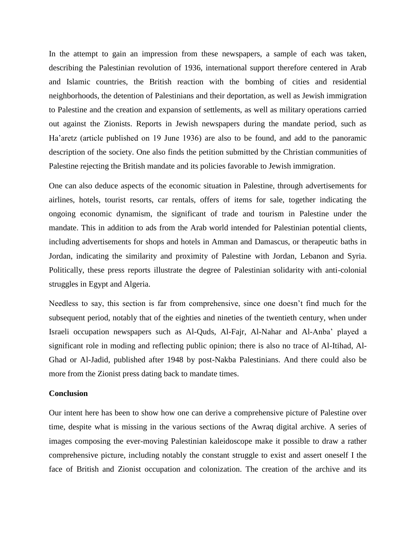In the attempt to gain an impression from these newspapers, a sample of each was taken, describing the Palestinian revolution of 1936, international support therefore centered in Arab and Islamic countries, the British reaction with the bombing of cities and residential neighborhoods, the detention of Palestinians and their deportation, as well as Jewish immigration to Palestine and the creation and expansion of settlements, as well as military operations carried out against the Zionists. Reports in Jewish newspapers during the mandate period, such as Ha'aretz (article published on 19 June 1936) are also to be found, and add to the panoramic description of the society. One also finds the petition submitted by the Christian communities of Palestine rejecting the British mandate and its policies favorable to Jewish immigration.

One can also deduce aspects of the economic situation in Palestine, through advertisements for airlines, hotels, tourist resorts, car rentals, offers of items for sale, together indicating the ongoing economic dynamism, the significant of trade and tourism in Palestine under the mandate. This in addition to ads from the Arab world intended for Palestinian potential clients, including advertisements for shops and hotels in Amman and Damascus, or therapeutic baths in Jordan, indicating the similarity and proximity of Palestine with Jordan, Lebanon and Syria. Politically, these press reports illustrate the degree of Palestinian solidarity with anti-colonial struggles in Egypt and Algeria.

Needless to say, this section is far from comprehensive, since one doesn't find much for the subsequent period, notably that of the eighties and nineties of the twentieth century, when under Israeli occupation newspapers such as Al-Quds, Al-Fajr, Al-Nahar and Al-Anba' played a significant role in moding and reflecting public opinion; there is also no trace of Al-Itihad, Al-Ghad or Al-Jadid, published after 1948 by post-Nakba Palestinians. And there could also be more from the Zionist press dating back to mandate times.

#### **Conclusion**

Our intent here has been to show how one can derive a comprehensive picture of Palestine over time, despite what is missing in the various sections of the Awraq digital archive. A series of images composing the ever-moving Palestinian kaleidoscope make it possible to draw a rather comprehensive picture, including notably the constant struggle to exist and assert oneself I the face of British and Zionist occupation and colonization. The creation of the archive and its